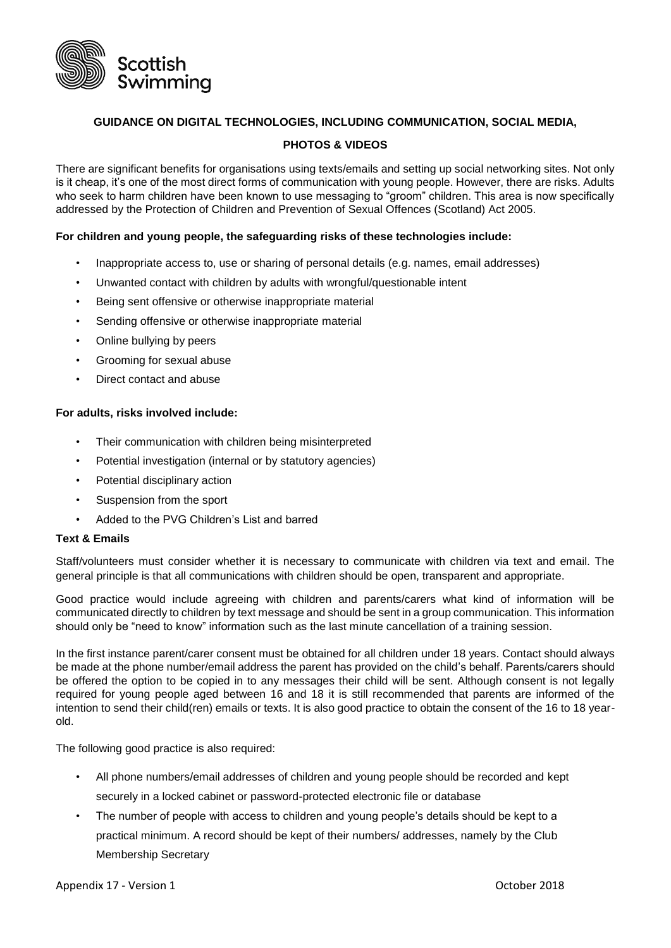

# **GUIDANCE ON DIGITAL TECHNOLOGIES, INCLUDING COMMUNICATION, SOCIAL MEDIA,**

# **PHOTOS & VIDEOS**

There are significant benefits for organisations using texts/emails and setting up social networking sites. Not only is it cheap, it's one of the most direct forms of communication with young people. However, there are risks. Adults who seek to harm children have been known to use messaging to "groom" children. This area is now specifically addressed by the Protection of Children and Prevention of Sexual Offences (Scotland) Act 2005.

### **For children and young people, the safeguarding risks of these technologies include:**

- Inappropriate access to, use or sharing of personal details (e.g. names, email addresses)
- Unwanted contact with children by adults with wrongful/questionable intent
- Being sent offensive or otherwise inappropriate material
- Sending offensive or otherwise inappropriate material
- Online bullying by peers
- Grooming for sexual abuse
- Direct contact and abuse

#### **For adults, risks involved include:**

- Their communication with children being misinterpreted
- Potential investigation (internal or by statutory agencies)
- Potential disciplinary action
- Suspension from the sport
- Added to the PVG Children's List and barred

### **Text & Emails**

Staff/volunteers must consider whether it is necessary to communicate with children via text and email. The general principle is that all communications with children should be open, transparent and appropriate.

Good practice would include agreeing with children and parents/carers what kind of information will be communicated directly to children by text message and should be sent in a group communication. This information should only be "need to know" information such as the last minute cancellation of a training session.

In the first instance parent/carer consent must be obtained for all children under 18 years. Contact should always be made at the phone number/email address the parent has provided on the child's behalf. Parents/carers should be offered the option to be copied in to any messages their child will be sent. Although consent is not legally required for young people aged between 16 and 18 it is still recommended that parents are informed of the intention to send their child(ren) emails or texts. It is also good practice to obtain the consent of the 16 to 18 yearold.

The following good practice is also required:

- All phone numbers/email addresses of children and young people should be recorded and kept securely in a locked cabinet or password-protected electronic file or database
- The number of people with access to children and young people's details should be kept to a practical minimum. A record should be kept of their numbers/ addresses, namely by the Club Membership Secretary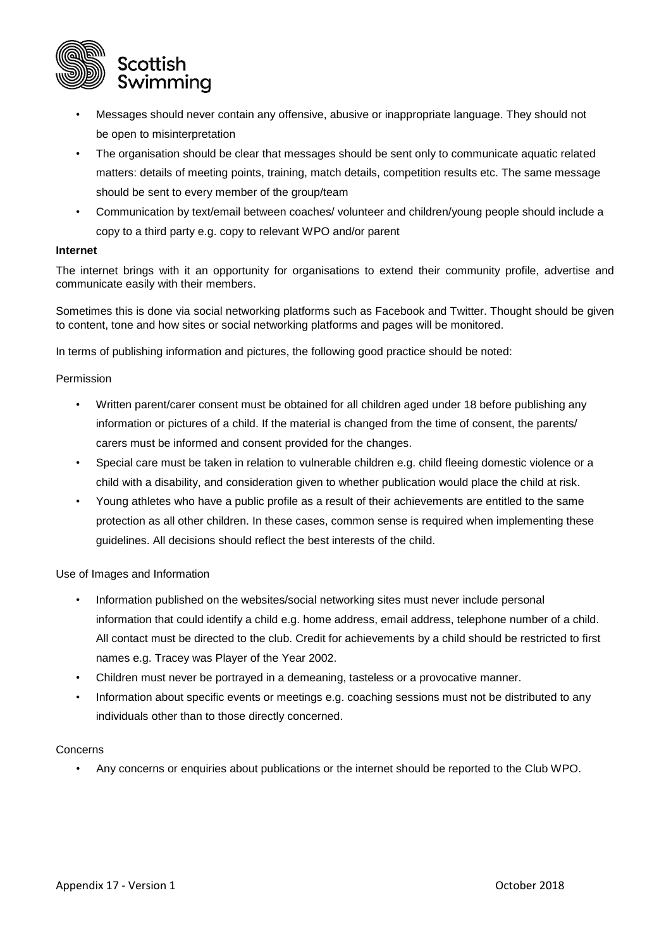

- Messages should never contain any offensive, abusive or inappropriate language. They should not be open to misinterpretation
- The organisation should be clear that messages should be sent only to communicate aquatic related matters: details of meeting points, training, match details, competition results etc. The same message should be sent to every member of the group/team
- Communication by text/email between coaches/ volunteer and children/young people should include a copy to a third party e.g. copy to relevant WPO and/or parent

#### **Internet**

The internet brings with it an opportunity for organisations to extend their community profile, advertise and communicate easily with their members.

Sometimes this is done via social networking platforms such as Facebook and Twitter. Thought should be given to content, tone and how sites or social networking platforms and pages will be monitored.

In terms of publishing information and pictures, the following good practice should be noted:

### Permission

- Written parent/carer consent must be obtained for all children aged under 18 before publishing any information or pictures of a child. If the material is changed from the time of consent, the parents/ carers must be informed and consent provided for the changes.
- Special care must be taken in relation to vulnerable children e.g. child fleeing domestic violence or a child with a disability, and consideration given to whether publication would place the child at risk.
- Young athletes who have a public profile as a result of their achievements are entitled to the same protection as all other children. In these cases, common sense is required when implementing these guidelines. All decisions should reflect the best interests of the child.

Use of Images and Information

- Information published on the websites/social networking sites must never include personal information that could identify a child e.g. home address, email address, telephone number of a child. All contact must be directed to the club. Credit for achievements by a child should be restricted to first names e.g. Tracey was Player of the Year 2002.
- Children must never be portrayed in a demeaning, tasteless or a provocative manner.
- Information about specific events or meetings e.g. coaching sessions must not be distributed to any individuals other than to those directly concerned.

#### Concerns

• Any concerns or enquiries about publications or the internet should be reported to the Club WPO.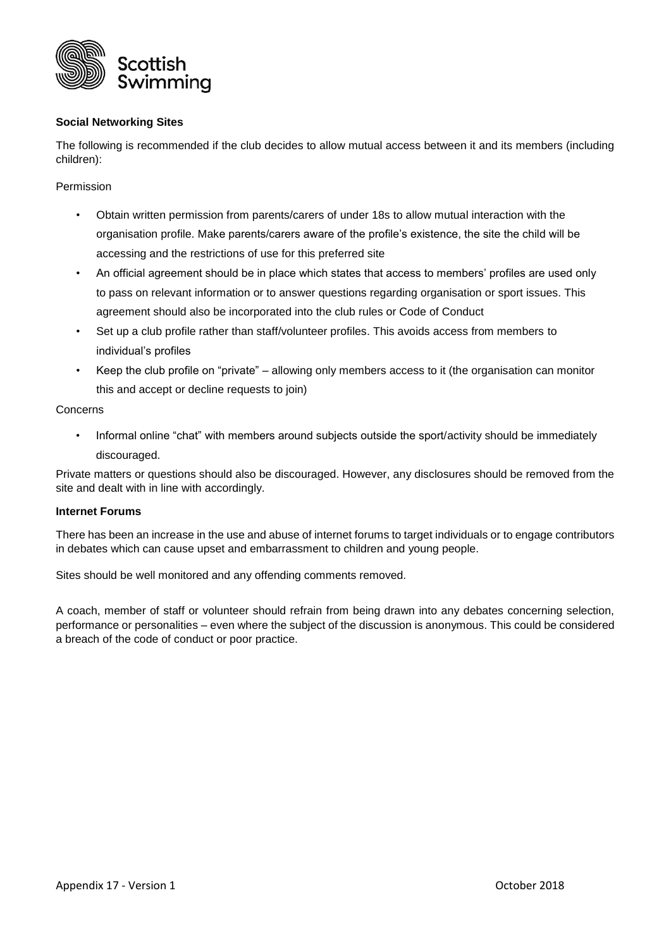

## **Social Networking Sites**

The following is recommended if the club decides to allow mutual access between it and its members (including children):

Permission

- Obtain written permission from parents/carers of under 18s to allow mutual interaction with the organisation profile. Make parents/carers aware of the profile's existence, the site the child will be accessing and the restrictions of use for this preferred site
- An official agreement should be in place which states that access to members' profiles are used only to pass on relevant information or to answer questions regarding organisation or sport issues. This agreement should also be incorporated into the club rules or Code of Conduct
- Set up a club profile rather than staff/volunteer profiles. This avoids access from members to individual's profiles
- Keep the club profile on "private" allowing only members access to it (the organisation can monitor this and accept or decline requests to join)

### Concerns

• Informal online "chat" with members around subjects outside the sport/activity should be immediately discouraged.

Private matters or questions should also be discouraged. However, any disclosures should be removed from the site and dealt with in line with accordingly.

### **Internet Forums**

There has been an increase in the use and abuse of internet forums to target individuals or to engage contributors in debates which can cause upset and embarrassment to children and young people.

Sites should be well monitored and any offending comments removed.

A coach, member of staff or volunteer should refrain from being drawn into any debates concerning selection, performance or personalities – even where the subject of the discussion is anonymous. This could be considered a breach of the code of conduct or poor practice.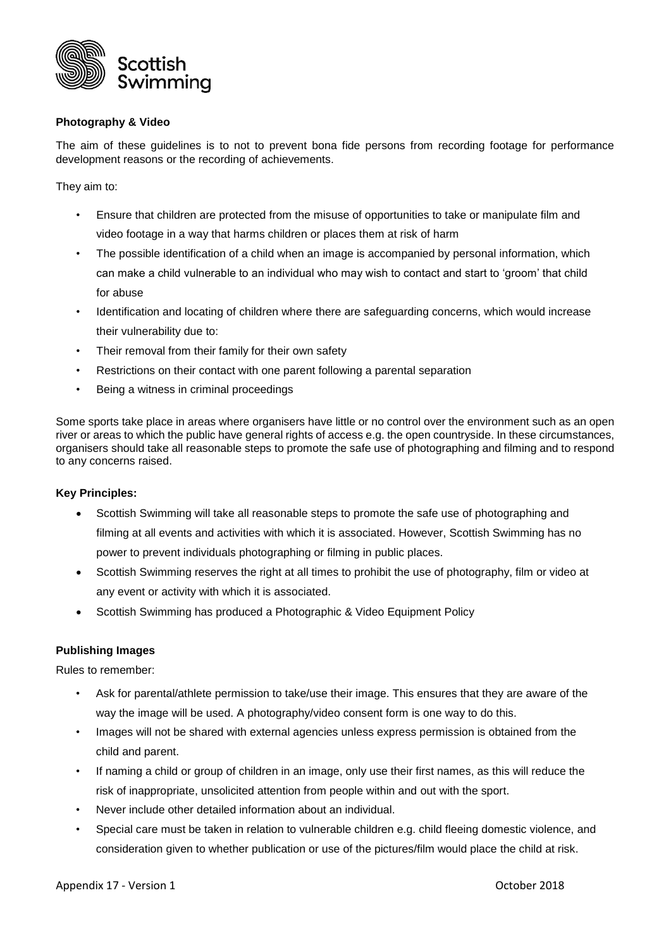

## **Photography & Video**

The aim of these guidelines is to not to prevent bona fide persons from recording footage for performance development reasons or the recording of achievements.

They aim to:

- Ensure that children are protected from the misuse of opportunities to take or manipulate film and video footage in a way that harms children or places them at risk of harm
- The possible identification of a child when an image is accompanied by personal information, which can make a child vulnerable to an individual who may wish to contact and start to 'groom' that child for abuse
- Identification and locating of children where there are safeguarding concerns, which would increase their vulnerability due to:
- Their removal from their family for their own safety
- Restrictions on their contact with one parent following a parental separation
- Being a witness in criminal proceedings

Some sports take place in areas where organisers have little or no control over the environment such as an open river or areas to which the public have general rights of access e.g. the open countryside. In these circumstances, organisers should take all reasonable steps to promote the safe use of photographing and filming and to respond to any concerns raised.

#### **Key Principles:**

- Scottish Swimming will take all reasonable steps to promote the safe use of photographing and filming at all events and activities with which it is associated. However, Scottish Swimming has no power to prevent individuals photographing or filming in public places.
- Scottish Swimming reserves the right at all times to prohibit the use of photography, film or video at any event or activity with which it is associated.
- Scottish Swimming has produced a Photographic & Video Equipment Policy

## **Publishing Images**

Rules to remember:

- Ask for parental/athlete permission to take/use their image. This ensures that they are aware of the way the image will be used. A photography/video consent form is one way to do this.
- Images will not be shared with external agencies unless express permission is obtained from the child and parent.
- If naming a child or group of children in an image, only use their first names, as this will reduce the risk of inappropriate, unsolicited attention from people within and out with the sport.
- Never include other detailed information about an individual.
- Special care must be taken in relation to vulnerable children e.g. child fleeing domestic violence, and consideration given to whether publication or use of the pictures/film would place the child at risk.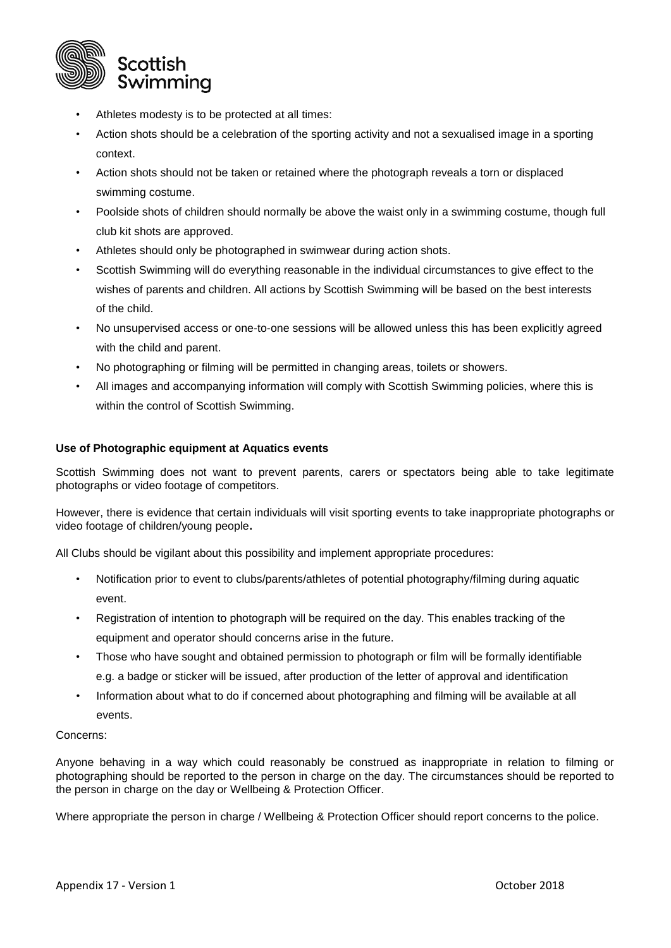

- Athletes modesty is to be protected at all times:
- Action shots should be a celebration of the sporting activity and not a sexualised image in a sporting context.
- Action shots should not be taken or retained where the photograph reveals a torn or displaced swimming costume.
- Poolside shots of children should normally be above the waist only in a swimming costume, though full club kit shots are approved.
- Athletes should only be photographed in swimwear during action shots.
- Scottish Swimming will do everything reasonable in the individual circumstances to give effect to the wishes of parents and children. All actions by Scottish Swimming will be based on the best interests of the child.
- No unsupervised access or one-to-one sessions will be allowed unless this has been explicitly agreed with the child and parent.
- No photographing or filming will be permitted in changing areas, toilets or showers.
- All images and accompanying information will comply with Scottish Swimming policies, where this is within the control of Scottish Swimming.

## **Use of Photographic equipment at Aquatics events**

Scottish Swimming does not want to prevent parents, carers or spectators being able to take legitimate photographs or video footage of competitors.

However, there is evidence that certain individuals will visit sporting events to take inappropriate photographs or video footage of children/young people**.** 

All Clubs should be vigilant about this possibility and implement appropriate procedures:

- Notification prior to event to clubs/parents/athletes of potential photography/filming during aquatic event.
- Registration of intention to photograph will be required on the day. This enables tracking of the equipment and operator should concerns arise in the future.
- Those who have sought and obtained permission to photograph or film will be formally identifiable e.g. a badge or sticker will be issued, after production of the letter of approval and identification
- Information about what to do if concerned about photographing and filming will be available at all events.

## Concerns:

Anyone behaving in a way which could reasonably be construed as inappropriate in relation to filming or photographing should be reported to the person in charge on the day. The circumstances should be reported to the person in charge on the day or Wellbeing & Protection Officer.

Where appropriate the person in charge / Wellbeing & Protection Officer should report concerns to the police.